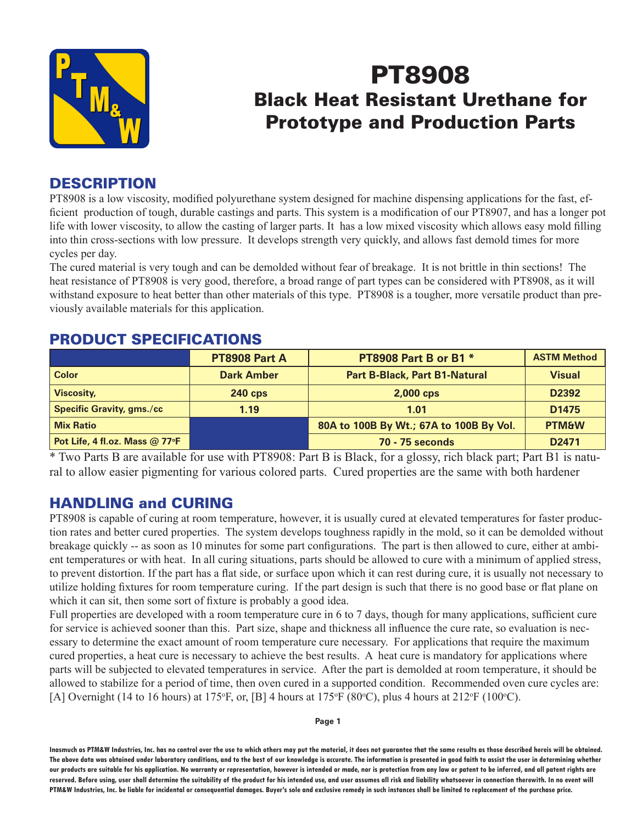

# PT8908 Black Heat Resistant Urethane for Prototype and Production Parts

### **DESCRIPTION**

PT8908 is a low viscosity, modified polyurethane system designed for machine dispensing applications for the fast, efficient production of tough, durable castings and parts. This system is a modification of our PT8907, and has a longer pot life with lower viscosity, to allow the casting of larger parts. It has a low mixed viscosity which allows easy mold filling into thin cross-sections with low pressure. It develops strength very quickly, and allows fast demold times for more cycles per day.

The cured material is very tough and can be demolded without fear of breakage. It is not brittle in thin sections! The heat resistance of PT8908 is very good, therefore, a broad range of part types can be considered with PT8908, as it will withstand exposure to heat better than other materials of this type. PT8908 is a tougher, more versatile product than previously available materials for this application.

#### PRODUCT SPECIFICATIONS

|                                  | PT8908 Part A     | PT8908 Part B or B1 *                   | <b>ASTM Method</b> |  |
|----------------------------------|-------------------|-----------------------------------------|--------------------|--|
| <b>Color</b>                     | <b>Dark Amber</b> | <b>Part B-Black, Part B1-Natural</b>    | <b>Visual</b>      |  |
| Viscosity,                       | <b>240 cps</b>    | $2,000$ cps                             | D <sub>2392</sub>  |  |
| <b>Specific Gravity, gms./cc</b> | 1.19              | 1.01                                    | D <sub>1475</sub>  |  |
| <b>Mix Ratio</b>                 |                   | 80A to 100B By Wt.; 67A to 100B By Vol. | <b>PTM&amp;W</b>   |  |
| Pot Life, 4 fl.oz. Mass @ 77°F   |                   | <b>70 - 75 seconds</b>                  | D <sub>2471</sub>  |  |

\* Two Parts B are available for use with PT8908: Part B is Black, for a glossy, rich black part; Part B1 is natural to allow easier pigmenting for various colored parts. Cured properties are the same with both hardener

### HANDLING and CURING

PT8908 is capable of curing at room temperature, however, it is usually cured at elevated temperatures for faster production rates and better cured properties. The system develops toughness rapidly in the mold, so it can be demolded without breakage quickly -- as soon as 10 minutes for some part configurations. The part is then allowed to cure, either at ambient temperatures or with heat. In all curing situations, parts should be allowed to cure with a minimum of applied stress, to prevent distortion. If the part has a flat side, or surface upon which it can rest during cure, it is usually not necessary to utilize holding fixtures for room temperature curing. If the part design is such that there is no good base or flat plane on which it can sit, then some sort of fixture is probably a good idea.

Full properties are developed with a room temperature cure in 6 to 7 days, though for many applications, sufficient cure for service is achieved sooner than this. Part size, shape and thickness all influence the cure rate, so evaluation is necessary to determine the exact amount of room temperature cure necessary. For applications that require the maximum cured properties, a heat cure is necessary to achieve the best results. A heat cure is mandatory for applications where parts will be subjected to elevated temperatures in service. After the part is demolded at room temperature, it should be allowed to stabilize for a period of time, then oven cured in a supported condition. Recommended oven cure cycles are: [A] Overnight (14 to 16 hours) at 175°F, or, [B] 4 hours at 175°F (80°C), plus 4 hours at 212°F (100°C).

**Page 1**

**Inasmuch as PTM&W Industries, Inc. has no control over the use to which others may put the material, it does not guarantee that the same results as those described hereis will be obtained. The above data was obtained under laboratory conditions, and to the best of our knowledge is accurate. The information is presented in good faith to assist the user in determining whether our products are suitable for his application. No warranty or representation, however is intended or made, nor is protection from any law or patent to be inferred, and all patent rights are**  reserved. Before using, user shall determine the suitability of the product for his intended use, and user assumes all risk and liability whatsoever in connection therewith. In no event will **PTM&W Industries, Inc. be liable for incidental or consequential damages. Buyer's sole and exclusive remedy in such instances shall be limited to replacement of the purchase price.**